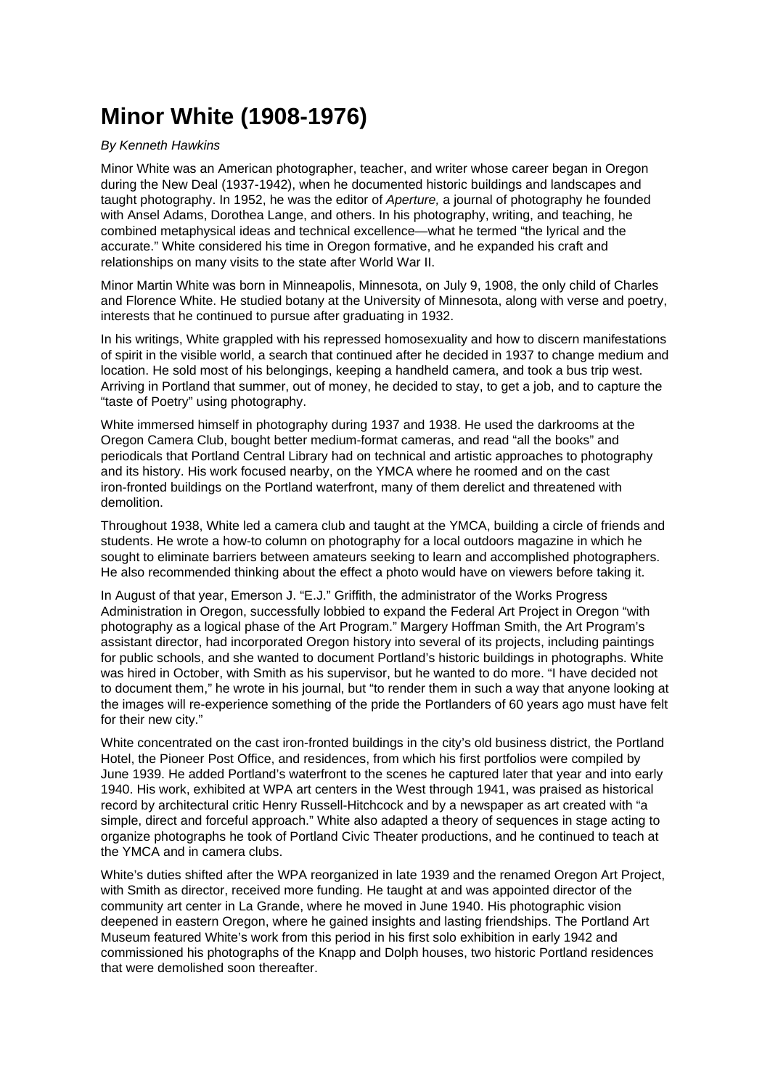## **Minor White (1908-1976)**

## By Kenneth Hawkins

Minor White was an American photographer, teacher, and writer whose career began in Oregon during the New Deal (1937-1942), when he documented historic buildings and landscapes and taught photography. In 1952, he was the editor of Aperture, a journal of photography he founded with Ansel Adams, Dorothea Lange, and others. In his photography, writing, and teaching, he combined metaphysical ideas and technical excellence—what he termed "the lyrical and the accurate." White considered his time in Oregon formative, and he expanded his craft and relationships on many visits to the state after World War II.

Minor Martin White was born in Minneapolis, Minnesota, on July 9, 1908, the only child of Charles and Florence White. He studied botany at the University of Minnesota, along with verse and poetry, interests that he continued to pursue after graduating in 1932.

In his writings, White grappled with his repressed homosexuality and how to discern manifestations of spirit in the visible world, a search that continued after he decided in 1937 to change medium and location. He sold most of his belongings, keeping a handheld camera, and took a bus trip west. Arriving in Portland that summer, out of money, he decided to stay, to get a job, and to capture the "taste of Poetry" using photography.

White immersed himself in photography during 1937 and 1938. He used the darkrooms at the Oregon Camera Club, bought better medium-format cameras, and read "all the books" and periodicals that Portland Central Library had on technical and artistic approaches to photography and its history. His work focused nearby, on the YMCA where he roomed and on the cast iron-fronted buildings on the Portland waterfront, many of them derelict and threatened with demolition.

Throughout 1938, White led a camera club and taught at the YMCA, building a circle of friends and students. He wrote a how-to column on photography for a local outdoors magazine in which he sought to eliminate barriers between amateurs seeking to learn and accomplished photographers. He also recommended thinking about the effect a photo would have on viewers before taking it.

In August of that year, Emerson J. "E.J." Griffith, the administrator of the Works Progress Administration in Oregon, successfully lobbied to expand the Federal Art Project in Oregon "with photography as a logical phase of the Art Program." Margery Hoffman Smith, the Art Program's assistant director, had incorporated Oregon history into several of its projects, including paintings for public schools, and she wanted to document Portland's historic buildings in photographs. White was hired in October, with Smith as his supervisor, but he wanted to do more. "I have decided not to document them," he wrote in his journal, but "to render them in such a way that anyone looking at the images will re-experience something of the pride the Portlanders of 60 years ago must have felt for their new city."

White concentrated on the cast iron-fronted buildings in the city's old business district, the Portland Hotel, the Pioneer Post Office, and residences, from which his first portfolios were compiled by June 1939. He added Portland's waterfront to the scenes he captured later that year and into early 1940. His work, exhibited at WPA art centers in the West through 1941, was praised as historical record by architectural critic Henry Russell-Hitchcock and by a newspaper as art created with "a simple, direct and forceful approach." White also adapted a theory of sequences in stage acting to organize photographs he took of Portland Civic Theater productions, and he continued to teach at the YMCA and in camera clubs.

White's duties shifted after the WPA reorganized in late 1939 and the renamed Oregon Art Project, with Smith as director, received more funding. He taught at and was appointed director of the community art center in La Grande, where he moved in June 1940. His photographic vision deepened in eastern Oregon, where he gained insights and lasting friendships. The Portland Art Museum featured White's work from this period in his first solo exhibition in early 1942 and commissioned his photographs of the Knapp and Dolph houses, two historic Portland residences that were demolished soon thereafter.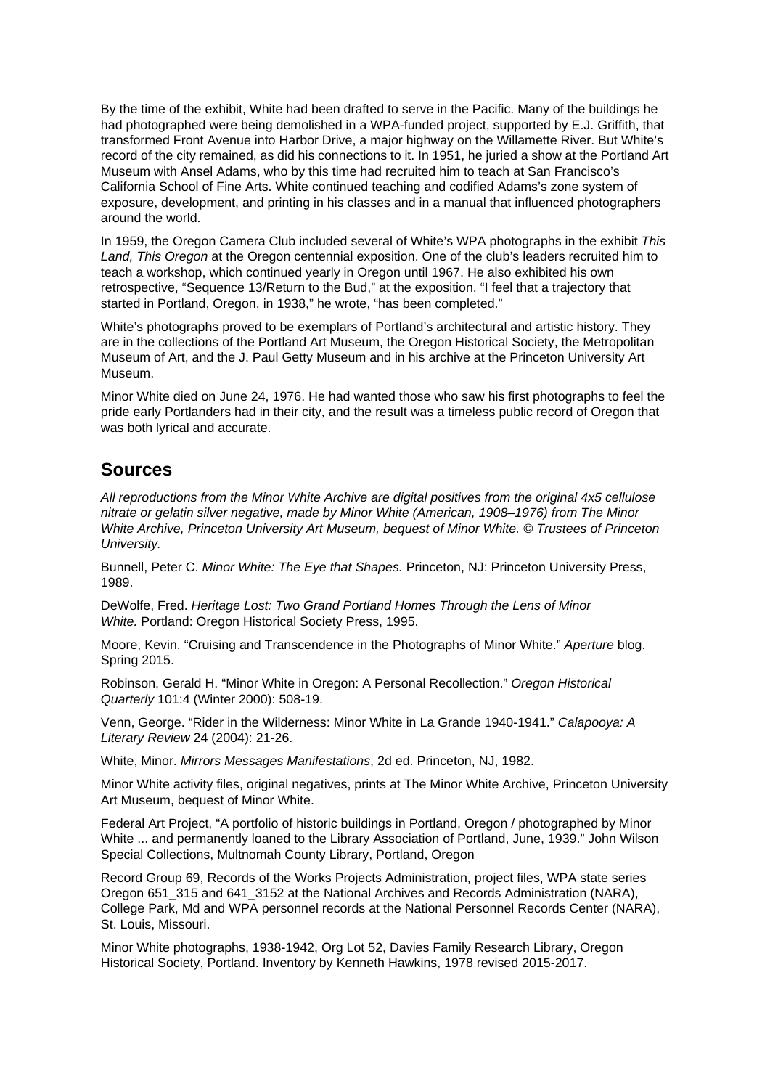By the time of the exhibit, White had been drafted to serve in the Pacific. Many of the buildings he had photographed were being demolished in a WPA-funded project, supported by E.J. Griffith, that transformed Front Avenue into Harbor Drive, a major highway on the Willamette River. But White's record of the city remained, as did his connections to it. In 1951, he juried a show at the Portland Art Museum with Ansel Adams, who by this time had recruited him to teach at San Francisco's California School of Fine Arts. White continued teaching and codified Adams's zone system of exposure, development, and printing in his classes and in a manual that influenced photographers around the world.

In 1959, the Oregon Camera Club included several of White's WPA photographs in the exhibit This Land, This Oregon at the Oregon centennial exposition. One of the club's leaders recruited him to teach a workshop, which continued yearly in Oregon until 1967. He also exhibited his own retrospective, "Sequence 13/Return to the Bud," at the exposition. "I feel that a trajectory that started in Portland, Oregon, in 1938," he wrote, "has been completed."

White's photographs proved to be exemplars of Portland's architectural and artistic history. They are in the collections of the Portland Art Museum, the Oregon Historical Society, the Metropolitan Museum of Art, and the J. Paul Getty Museum and in his archive at the Princeton University Art Museum.

Minor White died on June 24, 1976. He had wanted those who saw his first photographs to feel the pride early Portlanders had in their city, and the result was a timeless public record of Oregon that was both lyrical and accurate.

## **Sources**

All reproductions from the Minor White Archive are digital positives from the original 4x5 cellulose nitrate or gelatin silver negative, made by Minor White (American, 1908–1976) from The Minor White Archive, Princeton University Art Museum, bequest of Minor White. © Trustees of Princeton University.

Bunnell, Peter C. Minor White: The Eye that Shapes. Princeton, NJ: Princeton University Press, 1989.

DeWolfe, Fred. Heritage Lost: Two Grand Portland Homes Through the Lens of Minor White. Portland: Oregon Historical Society Press, 1995.

Moore, Kevin. "Cruising and Transcendence in the Photographs of Minor White." Aperture blog. Spring 2015.

Robinson, Gerald H. "Minor White in Oregon: A Personal Recollection." Oregon Historical Quarterly 101:4 (Winter 2000): 508-19.

Venn, George. "Rider in the Wilderness: Minor White in La Grande 1940-1941." Calapooya: A Literary Review 24 (2004): 21-26.

White, Minor. Mirrors Messages Manifestations, 2d ed. Princeton, NJ, 1982.

Minor White activity files, original negatives, prints at The Minor White Archive, Princeton University Art Museum, bequest of Minor White.

Federal Art Project, "A portfolio of historic buildings in Portland, Oregon / photographed by Minor White ... and permanently loaned to the Library Association of Portland, June, 1939." John Wilson Special Collections, Multnomah County Library, Portland, Oregon

Record Group 69, Records of the Works Projects Administration, project files, WPA state series Oregon 651\_315 and 641\_3152 at the National Archives and Records Administration (NARA), College Park, Md and WPA personnel records at the National Personnel Records Center (NARA), St. Louis, Missouri.

Minor White photographs, 1938-1942, Org Lot 52, Davies Family Research Library, Oregon Historical Society, Portland. Inventory by Kenneth Hawkins, 1978 revised 2015-2017.